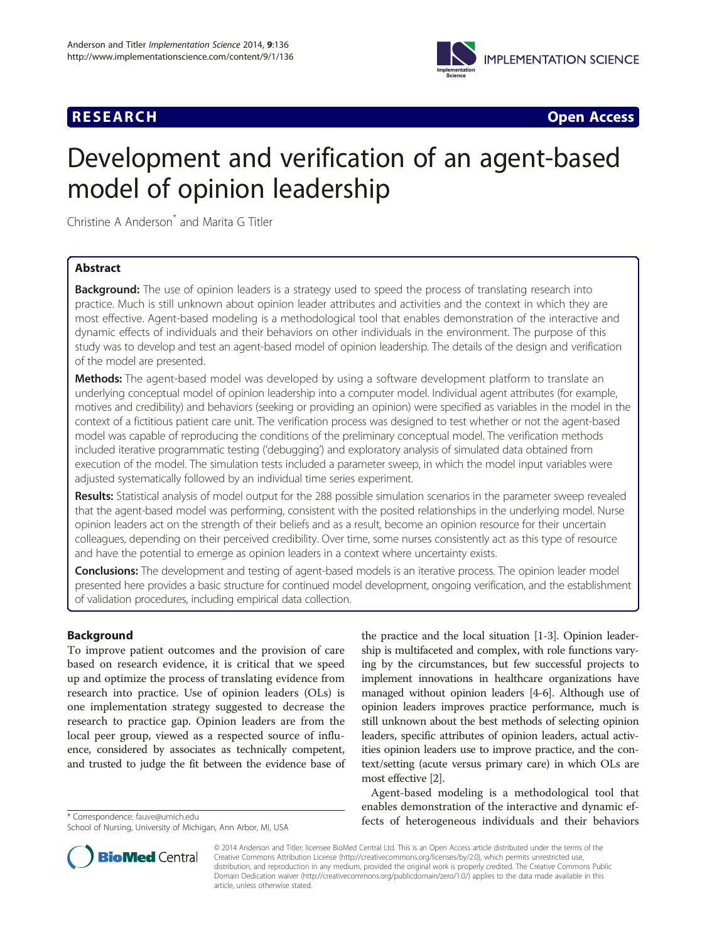

# **RESEARCH RESEARCH** *CHECK <b>CHECK*

# Development and verification of an agent-based model of opinion leadership

Christine A Anderson\* and Marita G Titler

# Abstract

Background: The use of opinion leaders is a strategy used to speed the process of translating research into practice. Much is still unknown about opinion leader attributes and activities and the context in which they are most effective. Agent-based modeling is a methodological tool that enables demonstration of the interactive and dynamic effects of individuals and their behaviors on other individuals in the environment. The purpose of this study was to develop and test an agent-based model of opinion leadership. The details of the design and verification of the model are presented.

Methods: The agent-based model was developed by using a software development platform to translate an underlying conceptual model of opinion leadership into a computer model. Individual agent attributes (for example, motives and credibility) and behaviors (seeking or providing an opinion) were specified as variables in the model in the context of a fictitious patient care unit. The verification process was designed to test whether or not the agent-based model was capable of reproducing the conditions of the preliminary conceptual model. The verification methods included iterative programmatic testing ('debugging') and exploratory analysis of simulated data obtained from execution of the model. The simulation tests included a parameter sweep, in which the model input variables were adjusted systematically followed by an individual time series experiment.

Results: Statistical analysis of model output for the 288 possible simulation scenarios in the parameter sweep revealed that the agent-based model was performing, consistent with the posited relationships in the underlying model. Nurse opinion leaders act on the strength of their beliefs and as a result, become an opinion resource for their uncertain colleagues, depending on their perceived credibility. Over time, some nurses consistently act as this type of resource and have the potential to emerge as opinion leaders in a context where uncertainty exists.

Conclusions: The development and testing of agent-based models is an iterative process. The opinion leader model presented here provides a basic structure for continued model development, ongoing verification, and the establishment of validation procedures, including empirical data collection.

# Background

To improve patient outcomes and the provision of care based on research evidence, it is critical that we speed up and optimize the process of translating evidence from research into practice. Use of opinion leaders (OLs) is one implementation strategy suggested to decrease the research to practice gap. Opinion leaders are from the local peer group, viewed as a respected source of influence, considered by associates as technically competent, and trusted to judge the fit between the evidence base of



Agent-based modeling is a methodological tool that enables demonstration of the interactive and dynamic effects of heterogeneous individuals and their behaviors \* Correspondence: [fauve@umich.edu](mailto:fauve@umich.edu)



© 2014 Anderson and Titler; licensee BioMed Central Ltd. This is an Open Access article distributed under the terms of the Creative Commons Attribution License (<http://creativecommons.org/licenses/by/2.0>), which permits unrestricted use, distribution, and reproduction in any medium, provided the original work is properly credited. The Creative Commons Public Domain Dedication waiver [\(http://creativecommons.org/publicdomain/zero/1.0/\)](http://creativecommons.org/publicdomain/zero/1.0/) applies to the data made available in this article, unless otherwise stated.

School of Nursing, University of Michigan, Ann Arbor, MI, USA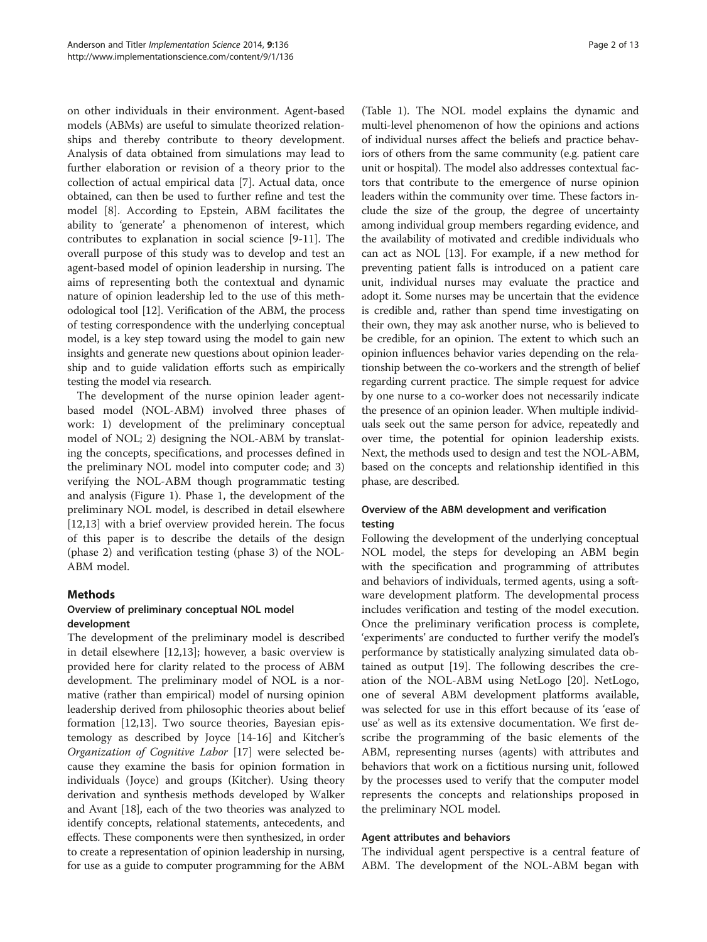on other individuals in their environment. Agent-based models (ABMs) are useful to simulate theorized relationships and thereby contribute to theory development. Analysis of data obtained from simulations may lead to further elaboration or revision of a theory prior to the collection of actual empirical data [\[7](#page-11-0)]. Actual data, once obtained, can then be used to further refine and test the model [[8\]](#page-11-0). According to Epstein, ABM facilitates the ability to 'generate' a phenomenon of interest, which contributes to explanation in social science [[9-11\]](#page-11-0). The overall purpose of this study was to develop and test an agent-based model of opinion leadership in nursing. The aims of representing both the contextual and dynamic nature of opinion leadership led to the use of this methodological tool [[12](#page-11-0)]. Verification of the ABM, the process of testing correspondence with the underlying conceptual model, is a key step toward using the model to gain new insights and generate new questions about opinion leadership and to guide validation efforts such as empirically testing the model via research.

The development of the nurse opinion leader agentbased model (NOL-ABM) involved three phases of work: 1) development of the preliminary conceptual model of NOL; 2) designing the NOL-ABM by translating the concepts, specifications, and processes defined in the preliminary NOL model into computer code; and 3) verifying the NOL-ABM though programmatic testing and analysis (Figure [1](#page-2-0)). Phase 1, the development of the preliminary NOL model, is described in detail elsewhere [[12,13\]](#page-11-0) with a brief overview provided herein. The focus of this paper is to describe the details of the design (phase 2) and verification testing (phase 3) of the NOL-ABM model.

# Methods

# Overview of preliminary conceptual NOL model development

The development of the preliminary model is described in detail elsewhere [\[12,13](#page-11-0)]; however, a basic overview is provided here for clarity related to the process of ABM development. The preliminary model of NOL is a normative (rather than empirical) model of nursing opinion leadership derived from philosophic theories about belief formation [\[12,13\]](#page-11-0). Two source theories, Bayesian epistemology as described by Joyce [[14-](#page-11-0)[16](#page-12-0)] and Kitcher's Organization of Cognitive Labor [[17](#page-12-0)] were selected because they examine the basis for opinion formation in individuals (Joyce) and groups (Kitcher). Using theory derivation and synthesis methods developed by Walker and Avant [\[18\]](#page-12-0), each of the two theories was analyzed to identify concepts, relational statements, antecedents, and effects. These components were then synthesized, in order to create a representation of opinion leadership in nursing, for use as a guide to computer programming for the ABM

(Table [1\)](#page-3-0). The NOL model explains the dynamic and multi-level phenomenon of how the opinions and actions of individual nurses affect the beliefs and practice behaviors of others from the same community (e.g. patient care unit or hospital). The model also addresses contextual factors that contribute to the emergence of nurse opinion leaders within the community over time. These factors include the size of the group, the degree of uncertainty among individual group members regarding evidence, and the availability of motivated and credible individuals who can act as NOL [\[13\]](#page-11-0). For example, if a new method for preventing patient falls is introduced on a patient care unit, individual nurses may evaluate the practice and adopt it. Some nurses may be uncertain that the evidence is credible and, rather than spend time investigating on their own, they may ask another nurse, who is believed to be credible, for an opinion. The extent to which such an opinion influences behavior varies depending on the relationship between the co-workers and the strength of belief regarding current practice. The simple request for advice by one nurse to a co-worker does not necessarily indicate the presence of an opinion leader. When multiple individuals seek out the same person for advice, repeatedly and over time, the potential for opinion leadership exists. Next, the methods used to design and test the NOL-ABM, based on the concepts and relationship identified in this phase, are described.

# Overview of the ABM development and verification testing

Following the development of the underlying conceptual NOL model, the steps for developing an ABM begin with the specification and programming of attributes and behaviors of individuals, termed agents, using a software development platform. The developmental process includes verification and testing of the model execution. Once the preliminary verification process is complete, 'experiments' are conducted to further verify the model's performance by statistically analyzing simulated data obtained as output [[19](#page-12-0)]. The following describes the creation of the NOL-ABM using NetLogo [\[20\]](#page-12-0). NetLogo, one of several ABM development platforms available, was selected for use in this effort because of its 'ease of use' as well as its extensive documentation. We first describe the programming of the basic elements of the ABM, representing nurses (agents) with attributes and behaviors that work on a fictitious nursing unit, followed by the processes used to verify that the computer model represents the concepts and relationships proposed in the preliminary NOL model.

# Agent attributes and behaviors

The individual agent perspective is a central feature of ABM. The development of the NOL-ABM began with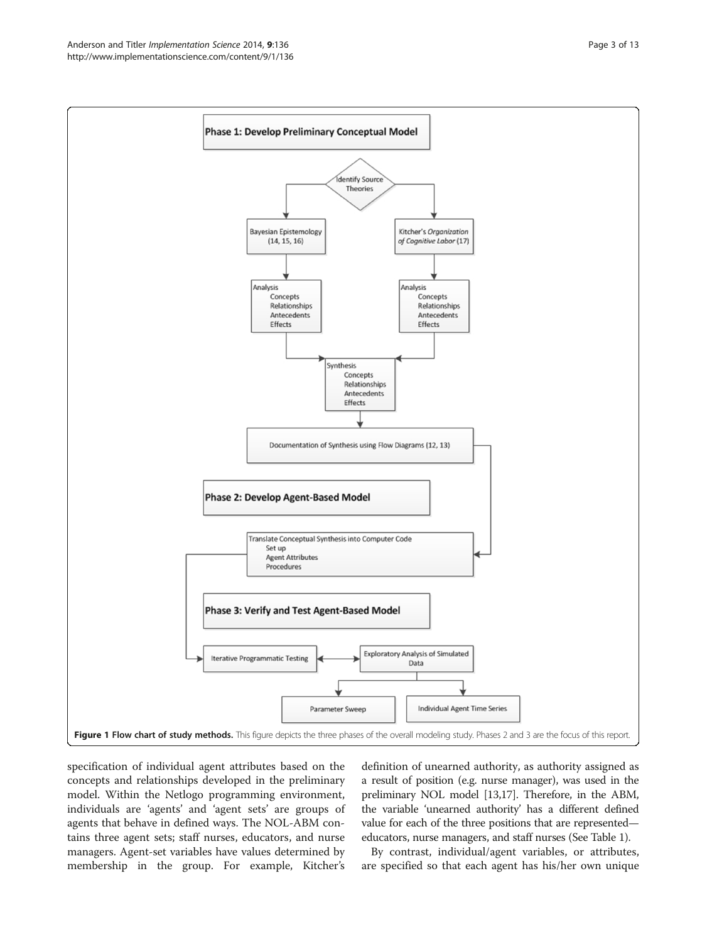<span id="page-2-0"></span>

specification of individual agent attributes based on the concepts and relationships developed in the preliminary model. Within the Netlogo programming environment, individuals are 'agents' and 'agent sets' are groups of agents that behave in defined ways. The NOL-ABM contains three agent sets; staff nurses, educators, and nurse managers. Agent-set variables have values determined by membership in the group. For example, Kitcher's

definition of unearned authority, as authority assigned as a result of position (e.g. nurse manager), was used in the preliminary NOL model [[13](#page-11-0)[,17\]](#page-12-0). Therefore, in the ABM, the variable 'unearned authority' has a different defined value for each of the three positions that are represented educators, nurse managers, and staff nurses (See Table [1](#page-3-0)).

By contrast, individual/agent variables, or attributes, are specified so that each agent has his/her own unique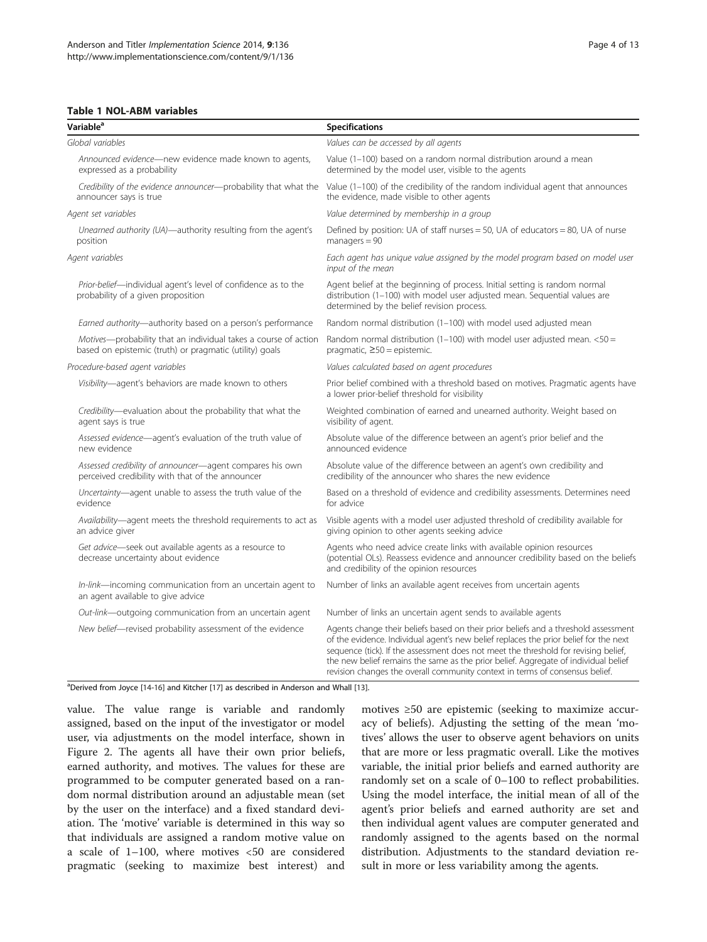# <span id="page-3-0"></span>Table 1 NOL-ABM variables

| Variable <sup>a</sup>                                                                                                      | <b>Specifications</b>                                                                                                                                                                                                                                               |
|----------------------------------------------------------------------------------------------------------------------------|---------------------------------------------------------------------------------------------------------------------------------------------------------------------------------------------------------------------------------------------------------------------|
| Global variables                                                                                                           | Values can be accessed by all agents                                                                                                                                                                                                                                |
| Announced evidence-new evidence made known to agents,<br>expressed as a probability                                        | Value (1-100) based on a random normal distribution around a mean<br>determined by the model user, visible to the agents                                                                                                                                            |
| Credibility of the evidence announcer-probability that what the<br>announcer says is true                                  | Value (1-100) of the credibility of the random individual agent that announces<br>the evidence, made visible to other agents                                                                                                                                        |
| Agent set variables                                                                                                        | Value determined by membership in a group                                                                                                                                                                                                                           |
| Unearned authority (UA)—authority resulting from the agent's<br>position                                                   | Defined by position: UA of staff nurses = 50, UA of educators = 80, UA of nurse<br>$managers = 90$                                                                                                                                                                  |
| Agent variables                                                                                                            | Each agent has unique value assigned by the model program based on model user<br>input of the mean                                                                                                                                                                  |
| Prior-belief-individual agent's level of confidence as to the<br>probability of a given proposition                        | Agent belief at the beginning of process. Initial setting is random normal<br>distribution (1-100) with model user adjusted mean. Sequential values are<br>determined by the belief revision process.                                                               |
| Earned authority—authority based on a person's performance                                                                 | Random normal distribution (1-100) with model used adjusted mean                                                                                                                                                                                                    |
| Motives—probability that an individual takes a course of action<br>based on epistemic (truth) or pragmatic (utility) goals | Random normal distribution (1-100) with model user adjusted mean. $< 50$ =<br>pragmatic, $\geq 50$ = epistemic.                                                                                                                                                     |
| Procedure-based agent variables                                                                                            | Values calculated based on agent procedures                                                                                                                                                                                                                         |
| Visibility-agent's behaviors are made known to others                                                                      | Prior belief combined with a threshold based on motives. Pragmatic agents have<br>a lower prior-belief threshold for visibility                                                                                                                                     |
| Credibility-evaluation about the probability that what the<br>agent says is true                                           | Weighted combination of earned and unearned authority. Weight based on<br>visibility of agent.                                                                                                                                                                      |
| Assessed evidence-agent's evaluation of the truth value of<br>new evidence                                                 | Absolute value of the difference between an agent's prior belief and the<br>announced evidence                                                                                                                                                                      |
| Assessed credibility of announcer-agent compares his own<br>perceived credibility with that of the announcer               | Absolute value of the difference between an agent's own credibility and<br>credibility of the announcer who shares the new evidence                                                                                                                                 |
| Uncertainty—agent unable to assess the truth value of the<br>evidence                                                      | Based on a threshold of evidence and credibility assessments. Determines need<br>for advice                                                                                                                                                                         |
| Availability-agent meets the threshold requirements to act as<br>an advice giver                                           | Visible agents with a model user adjusted threshold of credibility available for<br>giving opinion to other agents seeking advice                                                                                                                                   |
| Get advice-seek out available agents as a resource to<br>decrease uncertainty about evidence                               | Agents who need advice create links with available opinion resources<br>(potential OLs). Reassess evidence and announcer credibility based on the beliefs<br>and credibility of the opinion resources                                                               |
| In-link-incoming communication from an uncertain agent to<br>an agent available to give advice                             | Number of links an available agent receives from uncertain agents                                                                                                                                                                                                   |
| Out-link—outgoing communication from an uncertain agent                                                                    | Number of links an uncertain agent sends to available agents                                                                                                                                                                                                        |
| New belief-revised probability assessment of the evidence                                                                  | Agents change their beliefs based on their prior beliefs and a threshold assessment<br>of the evidence. Individual agent's new belief replaces the prior belief for the next<br>sequence (tick). If the assessment does not meet the threshold for revising belief. |

<sup>a</sup>Derived from Joyce [\[14-](#page-11-0)[16\]](#page-12-0) and Kitcher [[17\]](#page-12-0) as described in Anderson and Whall [[13\]](#page-11-0).

value. The value range is variable and randomly assigned, based on the input of the investigator or model user, via adjustments on the model interface, shown in Figure [2](#page-4-0). The agents all have their own prior beliefs, earned authority, and motives. The values for these are programmed to be computer generated based on a random normal distribution around an adjustable mean (set by the user on the interface) and a fixed standard deviation. The 'motive' variable is determined in this way so that individuals are assigned a random motive value on a scale of 1–100, where motives <50 are considered pragmatic (seeking to maximize best interest) and

motives ≥50 are epistemic (seeking to maximize accuracy of beliefs). Adjusting the setting of the mean 'motives' allows the user to observe agent behaviors on units that are more or less pragmatic overall. Like the motives variable, the initial prior beliefs and earned authority are randomly set on a scale of 0–100 to reflect probabilities. Using the model interface, the initial mean of all of the agent's prior beliefs and earned authority are set and then individual agent values are computer generated and randomly assigned to the agents based on the normal distribution. Adjustments to the standard deviation result in more or less variability among the agents.

the new belief remains the same as the prior belief. Aggregate of individual belief revision changes the overall community context in terms of consensus belief.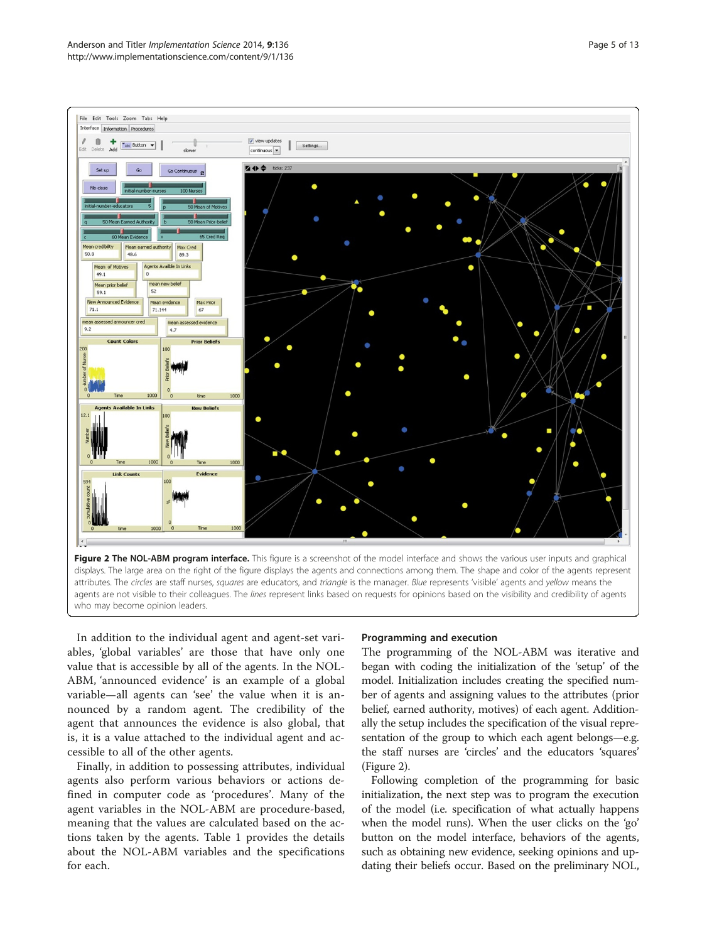<span id="page-4-0"></span>

attributes. The circles are staff nurses, squares are educators, and triangle is the manager. Blue represents 'visible' agents and yellow means the agents are not visible to their colleagues. The lines represent links based on requests for opinions based on the visibility and credibility of agents who may become opinion leaders.

In addition to the individual agent and agent-set variables, 'global variables' are those that have only one value that is accessible by all of the agents. In the NOL-ABM, 'announced evidence' is an example of a global variable—all agents can 'see' the value when it is announced by a random agent. The credibility of the agent that announces the evidence is also global, that is, it is a value attached to the individual agent and accessible to all of the other agents.

Finally, in addition to possessing attributes, individual agents also perform various behaviors or actions defined in computer code as 'procedures'. Many of the agent variables in the NOL-ABM are procedure-based, meaning that the values are calculated based on the actions taken by the agents. Table [1](#page-3-0) provides the details about the NOL-ABM variables and the specifications for each.

# Programming and execution

The programming of the NOL-ABM was iterative and began with coding the initialization of the 'setup' of the model. Initialization includes creating the specified number of agents and assigning values to the attributes (prior belief, earned authority, motives) of each agent. Additionally the setup includes the specification of the visual representation of the group to which each agent belongs—e.g. the staff nurses are 'circles' and the educators 'squares' (Figure 2).

Following completion of the programming for basic initialization, the next step was to program the execution of the model (i.e. specification of what actually happens when the model runs). When the user clicks on the 'go' button on the model interface, behaviors of the agents, such as obtaining new evidence, seeking opinions and updating their beliefs occur. Based on the preliminary NOL,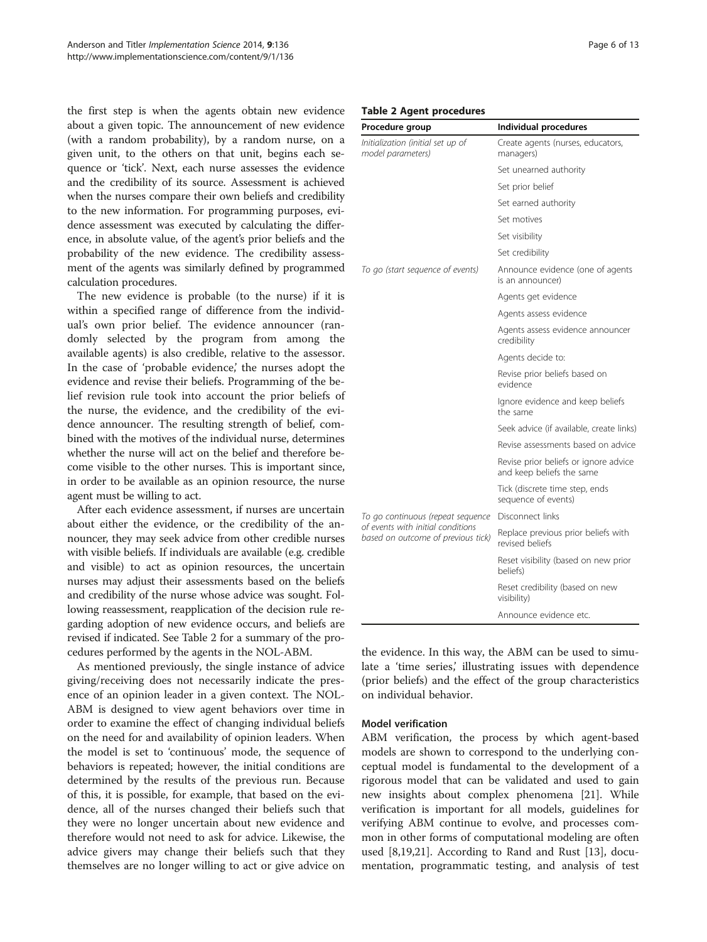the first step is when the agents obtain new evidence about a given topic. The announcement of new evidence (with a random probability), by a random nurse, on a given unit, to the others on that unit, begins each sequence or 'tick'. Next, each nurse assesses the evidence and the credibility of its source. Assessment is achieved when the nurses compare their own beliefs and credibility to the new information. For programming purposes, evidence assessment was executed by calculating the difference, in absolute value, of the agent's prior beliefs and the probability of the new evidence. The credibility assessment of the agents was similarly defined by programmed calculation procedures.

The new evidence is probable (to the nurse) if it is within a specified range of difference from the individual's own prior belief. The evidence announcer (randomly selected by the program from among the available agents) is also credible, relative to the assessor. In the case of 'probable evidence,' the nurses adopt the evidence and revise their beliefs. Programming of the belief revision rule took into account the prior beliefs of the nurse, the evidence, and the credibility of the evidence announcer. The resulting strength of belief, combined with the motives of the individual nurse, determines whether the nurse will act on the belief and therefore become visible to the other nurses. This is important since, in order to be available as an opinion resource, the nurse agent must be willing to act.

After each evidence assessment, if nurses are uncertain about either the evidence, or the credibility of the announcer, they may seek advice from other credible nurses with visible beliefs. If individuals are available (e.g. credible and visible) to act as opinion resources, the uncertain nurses may adjust their assessments based on the beliefs and credibility of the nurse whose advice was sought. Following reassessment, reapplication of the decision rule regarding adoption of new evidence occurs, and beliefs are revised if indicated. See Table 2 for a summary of the procedures performed by the agents in the NOL-ABM.

As mentioned previously, the single instance of advice giving/receiving does not necessarily indicate the presence of an opinion leader in a given context. The NOL-ABM is designed to view agent behaviors over time in order to examine the effect of changing individual beliefs on the need for and availability of opinion leaders. When the model is set to 'continuous' mode, the sequence of behaviors is repeated; however, the initial conditions are determined by the results of the previous run. Because of this, it is possible, for example, that based on the evidence, all of the nurses changed their beliefs such that they were no longer uncertain about new evidence and therefore would not need to ask for advice. Likewise, the advice givers may change their beliefs such that they themselves are no longer willing to act or give advice on

## Table 2 Agent procedures

| Procedure group                                                         | Individual procedures                                              |  |  |  |
|-------------------------------------------------------------------------|--------------------------------------------------------------------|--|--|--|
| Initialization (initial set up of<br>model parameters)                  | Create agents (nurses, educators,<br>managers)                     |  |  |  |
|                                                                         | Set unearned authority                                             |  |  |  |
|                                                                         | Set prior belief                                                   |  |  |  |
|                                                                         | Set earned authority                                               |  |  |  |
|                                                                         | Set motives                                                        |  |  |  |
|                                                                         | Set visibility                                                     |  |  |  |
|                                                                         | Set credibility                                                    |  |  |  |
| To go (start sequence of events)                                        | Announce evidence (one of agents<br>is an announcer)               |  |  |  |
|                                                                         | Agents get evidence                                                |  |  |  |
|                                                                         | Agents assess evidence                                             |  |  |  |
|                                                                         | Agents assess evidence announcer<br>credibility                    |  |  |  |
|                                                                         | Agents decide to:                                                  |  |  |  |
|                                                                         | Revise prior beliefs based on<br>evidence                          |  |  |  |
|                                                                         | Ignore evidence and keep beliefs<br>the same                       |  |  |  |
|                                                                         | Seek advice (if available, create links)                           |  |  |  |
|                                                                         | Revise assessments based on advice                                 |  |  |  |
|                                                                         | Revise prior beliefs or ignore advice<br>and keep beliefs the same |  |  |  |
|                                                                         | Tick (discrete time step, ends<br>sequence of events)              |  |  |  |
| To go continuous (repeat sequence                                       | Disconnect links                                                   |  |  |  |
| of events with initial conditions<br>based on outcome of previous tick) | Replace previous prior beliefs with<br>revised beliefs             |  |  |  |
|                                                                         | Reset visibility (based on new prior<br>beliefs)                   |  |  |  |
|                                                                         | Reset credibility (based on new<br>visibility)                     |  |  |  |
|                                                                         | Announce evidence etc.                                             |  |  |  |

the evidence. In this way, the ABM can be used to simulate a 'time series,' illustrating issues with dependence (prior beliefs) and the effect of the group characteristics on individual behavior.

# Model verification

ABM verification, the process by which agent-based models are shown to correspond to the underlying conceptual model is fundamental to the development of a rigorous model that can be validated and used to gain new insights about complex phenomena [\[21](#page-12-0)]. While verification is important for all models, guidelines for verifying ABM continue to evolve, and processes common in other forms of computational modeling are often used [\[8](#page-11-0)[,19,21](#page-12-0)]. According to Rand and Rust [[13\]](#page-11-0), documentation, programmatic testing, and analysis of test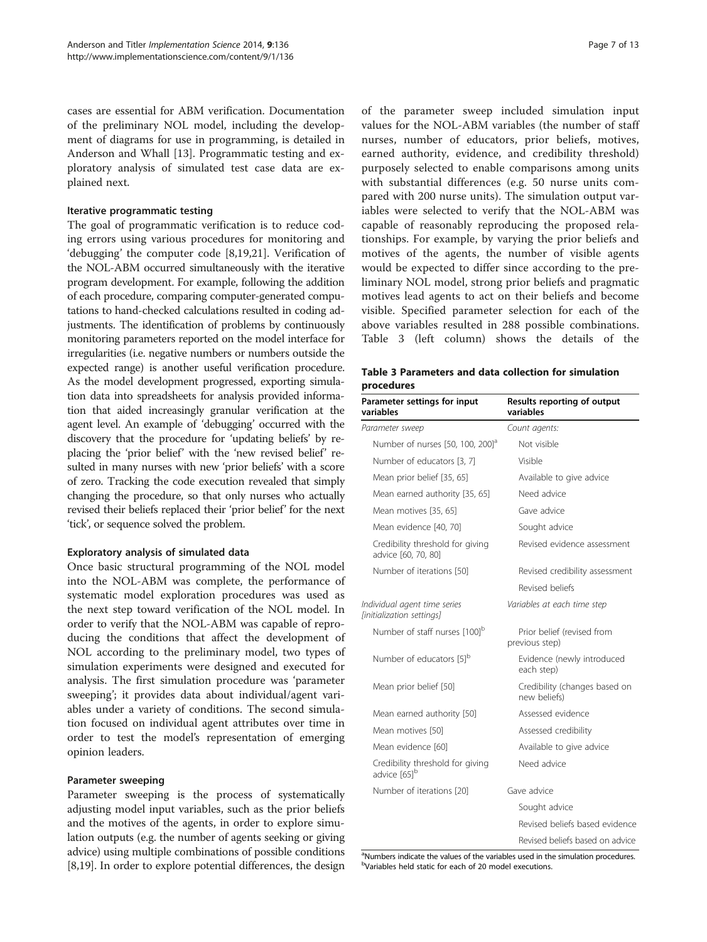<span id="page-6-0"></span>cases are essential for ABM verification. Documentation of the preliminary NOL model, including the development of diagrams for use in programming, is detailed in Anderson and Whall [\[13](#page-11-0)]. Programmatic testing and exploratory analysis of simulated test case data are explained next.

# Iterative programmatic testing

The goal of programmatic verification is to reduce coding errors using various procedures for monitoring and 'debugging' the computer code [[8,](#page-11-0)[19,21\]](#page-12-0). Verification of the NOL-ABM occurred simultaneously with the iterative program development. For example, following the addition of each procedure, comparing computer-generated computations to hand-checked calculations resulted in coding adjustments. The identification of problems by continuously monitoring parameters reported on the model interface for irregularities (i.e. negative numbers or numbers outside the expected range) is another useful verification procedure. As the model development progressed, exporting simulation data into spreadsheets for analysis provided information that aided increasingly granular verification at the agent level. An example of 'debugging' occurred with the discovery that the procedure for 'updating beliefs' by replacing the 'prior belief' with the 'new revised belief' resulted in many nurses with new 'prior beliefs' with a score of zero. Tracking the code execution revealed that simply changing the procedure, so that only nurses who actually revised their beliefs replaced their 'prior belief' for the next 'tick', or sequence solved the problem.

# Exploratory analysis of simulated data

Once basic structural programming of the NOL model into the NOL-ABM was complete, the performance of systematic model exploration procedures was used as the next step toward verification of the NOL model. In order to verify that the NOL-ABM was capable of reproducing the conditions that affect the development of NOL according to the preliminary model, two types of simulation experiments were designed and executed for analysis. The first simulation procedure was 'parameter sweeping'; it provides data about individual/agent variables under a variety of conditions. The second simulation focused on individual agent attributes over time in order to test the model's representation of emerging opinion leaders.

#### Parameter sweeping

Parameter sweeping is the process of systematically adjusting model input variables, such as the prior beliefs and the motives of the agents, in order to explore simulation outputs (e.g. the number of agents seeking or giving advice) using multiple combinations of possible conditions [[8,](#page-11-0)[19](#page-12-0)]. In order to explore potential differences, the design

of the parameter sweep included simulation input values for the NOL-ABM variables (the number of staff nurses, number of educators, prior beliefs, motives, earned authority, evidence, and credibility threshold) purposely selected to enable comparisons among units with substantial differences (e.g. 50 nurse units compared with 200 nurse units). The simulation output variables were selected to verify that the NOL-ABM was capable of reasonably reproducing the proposed relationships. For example, by varying the prior beliefs and motives of the agents, the number of visible agents would be expected to differ since according to the preliminary NOL model, strong prior beliefs and pragmatic motives lead agents to act on their beliefs and become visible. Specified parameter selection for each of the above variables resulted in 288 possible combinations. Table 3 (left column) shows the details of the

|            | Table 3 Parameters and data collection for simulation |  |  |
|------------|-------------------------------------------------------|--|--|
| procedures |                                                       |  |  |

| procedures                                                   |                                               |
|--------------------------------------------------------------|-----------------------------------------------|
| Parameter settings for input<br>variables                    | Results reporting of output<br>variables      |
| Parameter sweep                                              | Count agents:                                 |
| Number of nurses [50, 100, 200] <sup>a</sup>                 | Not visible                                   |
| Number of educators [3, 7]                                   | Visible                                       |
| Mean prior belief [35, 65]                                   | Available to give advice                      |
| Mean earned authority [35, 65]                               | Need advice                                   |
| Mean motives [35, 65]                                        | Gave advice                                   |
| Mean evidence [40, 70]                                       | Sought advice                                 |
| Credibility threshold for giving<br>advice [60, 70, 80]      | Revised evidence assessment                   |
| Number of iterations [50]                                    | Revised credibility assessment                |
|                                                              | Revised beliefs                               |
| Individual agent time series<br>[initialization settings]    | Variables at each time step                   |
| Number of staff nurses [100] <sup>b</sup>                    | Prior belief (revised from<br>previous step)  |
| Number of educators [5] <sup>b</sup>                         | Evidence (newly introduced<br>each step)      |
| Mean prior belief [50]                                       | Credibility (changes based on<br>new beliefs) |
| Mean earned authority [50]                                   | Assessed evidence                             |
| Mean motives [50]                                            | Assessed credibility                          |
| Mean evidence [60]                                           | Available to give advice                      |
| Credibility threshold for giving<br>advice [65] <sup>b</sup> | Need advice                                   |
| Number of iterations [20]                                    | Gave advice                                   |
|                                                              | Sought advice                                 |
|                                                              | Revised beliefs based evidence                |
|                                                              | Revised beliefs based on advice               |

<sup>a</sup>Numbers indicate the values of the variables used in the simulation procedures. bVariables held static for each of 20 model executions.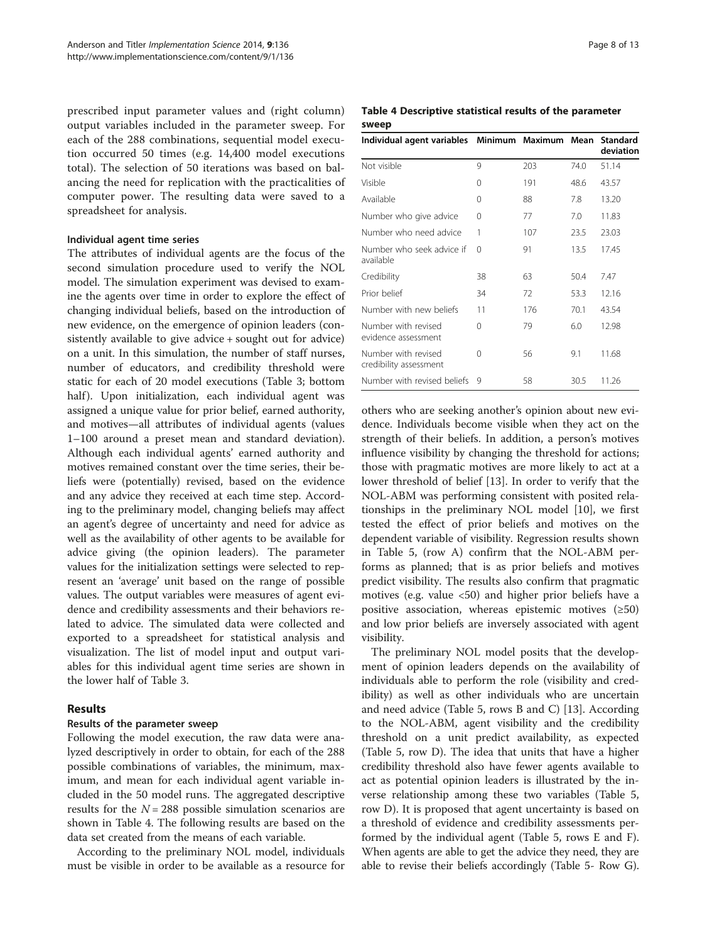prescribed input parameter values and (right column) output variables included in the parameter sweep. For each of the 288 combinations, sequential model execution occurred 50 times (e.g. 14,400 model executions total). The selection of 50 iterations was based on balancing the need for replication with the practicalities of computer power. The resulting data were saved to a spreadsheet for analysis.

# Individual agent time series

The attributes of individual agents are the focus of the second simulation procedure used to verify the NOL model. The simulation experiment was devised to examine the agents over time in order to explore the effect of changing individual beliefs, based on the introduction of new evidence, on the emergence of opinion leaders (consistently available to give advice + sought out for advice) on a unit. In this simulation, the number of staff nurses, number of educators, and credibility threshold were static for each of 20 model executions (Table [3;](#page-6-0) bottom half). Upon initialization, each individual agent was assigned a unique value for prior belief, earned authority, and motives—all attributes of individual agents (values 1–100 around a preset mean and standard deviation). Although each individual agents' earned authority and motives remained constant over the time series, their beliefs were (potentially) revised, based on the evidence and any advice they received at each time step. According to the preliminary model, changing beliefs may affect an agent's degree of uncertainty and need for advice as well as the availability of other agents to be available for advice giving (the opinion leaders). The parameter values for the initialization settings were selected to represent an 'average' unit based on the range of possible values. The output variables were measures of agent evidence and credibility assessments and their behaviors related to advice. The simulated data were collected and exported to a spreadsheet for statistical analysis and visualization. The list of model input and output variables for this individual agent time series are shown in the lower half of Table [3.](#page-6-0)

# Results

# Results of the parameter sweep

Following the model execution, the raw data were analyzed descriptively in order to obtain, for each of the 288 possible combinations of variables, the minimum, maximum, and mean for each individual agent variable included in the 50 model runs. The aggregated descriptive results for the  $N = 288$  possible simulation scenarios are shown in Table 4. The following results are based on the data set created from the means of each variable.

According to the preliminary NOL model, individuals must be visible in order to be available as a resource for

## Table 4 Descriptive statistical results of the parameter sweep

| Individual agent variables Minimum Maximum    |          |     | Mean | Standard<br>deviation |  |
|-----------------------------------------------|----------|-----|------|-----------------------|--|
| Not visible                                   | 9        | 203 | 74.0 | 51.14                 |  |
| Visible                                       | 0        | 191 | 48.6 | 43.57                 |  |
| Available                                     | 0        | 88  | 7.8  | 13.20                 |  |
| Number who give advice                        | 0        | 77  | 7.0  | 11.83                 |  |
| Number who need advice                        | 1        | 107 | 23.5 | 23.03                 |  |
| Number who seek advice if<br>available        | $\Omega$ | 91  | 13.5 | 17.45                 |  |
| Credibility                                   | 38       | 63  | 50.4 | 7.47                  |  |
| Prior belief                                  | 34       | 72  | 53.3 | 12.16                 |  |
| Number with new beliefs                       | 11       | 176 | 70.1 | 43.54                 |  |
| Number with revised<br>evidence assessment    | 0        | 79  | 6.0  | 12.98                 |  |
| Number with revised<br>credibility assessment | 0        | 56  | 9.1  | 11.68                 |  |
| Number with revised beliefs                   | 9        | 58  | 30.5 | 11.26                 |  |

others who are seeking another's opinion about new evidence. Individuals become visible when they act on the strength of their beliefs. In addition, a person's motives influence visibility by changing the threshold for actions; those with pragmatic motives are more likely to act at a lower threshold of belief [[13\]](#page-11-0). In order to verify that the NOL-ABM was performing consistent with posited relationships in the preliminary NOL model [[10\]](#page-11-0), we first tested the effect of prior beliefs and motives on the dependent variable of visibility. Regression results shown in Table [5](#page-8-0), (row A) confirm that the NOL-ABM performs as planned; that is as prior beliefs and motives predict visibility. The results also confirm that pragmatic motives (e.g. value <50) and higher prior beliefs have a positive association, whereas epistemic motives  $(≥50)$ and low prior beliefs are inversely associated with agent visibility.

The preliminary NOL model posits that the development of opinion leaders depends on the availability of individuals able to perform the role (visibility and credibility) as well as other individuals who are uncertain and need advice (Table [5](#page-8-0), rows B and C) [\[13\]](#page-11-0). According to the NOL-ABM, agent visibility and the credibility threshold on a unit predict availability, as expected (Table [5,](#page-8-0) row D). The idea that units that have a higher credibility threshold also have fewer agents available to act as potential opinion leaders is illustrated by the inverse relationship among these two variables (Table [5](#page-8-0), row D). It is proposed that agent uncertainty is based on a threshold of evidence and credibility assessments performed by the individual agent (Table [5](#page-8-0), rows E and F). When agents are able to get the advice they need, they are able to revise their beliefs accordingly (Table [5](#page-8-0)- Row G).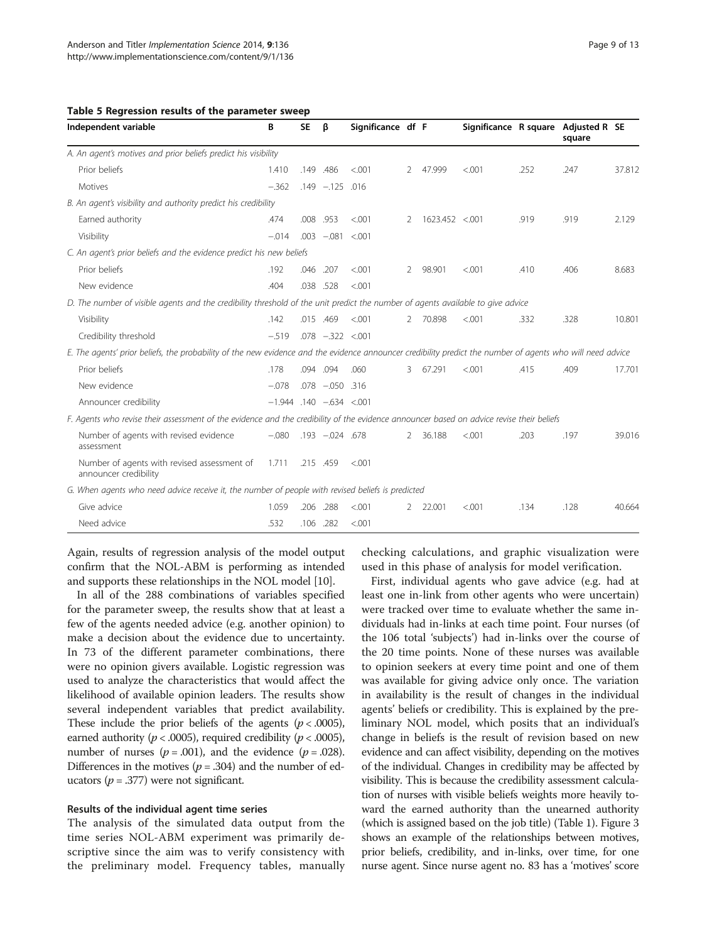<span id="page-8-0"></span>

|  |  | Table 5 Regression results of the parameter sweep |  |  |  |  |
|--|--|---------------------------------------------------|--|--|--|--|
|--|--|---------------------------------------------------|--|--|--|--|

| Independent variable                                                                                                                                       | B                          | <b>SE</b> | β                    | Significance df F |               |                | Significance R square Adjusted R SE |      | square |        |
|------------------------------------------------------------------------------------------------------------------------------------------------------------|----------------------------|-----------|----------------------|-------------------|---------------|----------------|-------------------------------------|------|--------|--------|
| A. An agent's motives and prior beliefs predict his visibility                                                                                             |                            |           |                      |                   |               |                |                                     |      |        |        |
| Prior beliefs                                                                                                                                              | 1.410                      | .149      | .486                 | < 0.001           | 2             | 47.999         | < .001                              | .252 | .247   | 37.812 |
| Motives                                                                                                                                                    | $-.362$                    |           | $.149 - .125$ .016   |                   |               |                |                                     |      |        |        |
| B. An agent's visibility and authority predict his credibility                                                                                             |                            |           |                      |                   |               |                |                                     |      |        |        |
| Earned authority                                                                                                                                           | .474                       |           | .008.953             | < 0.001           | 2             | 1623.452 <.001 |                                     | .919 | .919   | 2.129  |
| Visibility                                                                                                                                                 | $-.014$                    |           | $.003 - .081 < .001$ |                   |               |                |                                     |      |        |        |
| C. An agent's prior beliefs and the evidence predict his new beliefs                                                                                       |                            |           |                      |                   |               |                |                                     |      |        |        |
| Prior beliefs                                                                                                                                              | .192                       | .046      | .207                 | < .001            | 2.            | 98.901         | < .001                              | .410 | .406   | 8.683  |
| New evidence                                                                                                                                               | .404                       |           | .038 .528            | < .001            |               |                |                                     |      |        |        |
| D. The number of visible agents and the credibility threshold of the unit predict the number of agents available to give advice                            |                            |           |                      |                   |               |                |                                     |      |        |        |
| Visibility                                                                                                                                                 | .142                       |           | .015 .469            | < 0.001           |               | 2 70.898       | < .001                              | .332 | .328   | 10.801 |
| Credibility threshold                                                                                                                                      | $-.519$                    |           | $.078 - .322 < .001$ |                   |               |                |                                     |      |        |        |
| E. The agents' prior beliefs, the probability of the new evidence and the evidence announcer credibility predict the number of agents who will need advice |                            |           |                      |                   |               |                |                                     |      |        |        |
| Prior beliefs                                                                                                                                              | .178                       |           | .094 .094            | .060              | 3             | 67.291         | < 0.001                             | .415 | .409   | 17.701 |
| New evidence                                                                                                                                               | $-.078$                    |           | $.078 - .050$ .316   |                   |               |                |                                     |      |        |        |
| Announcer credibility                                                                                                                                      | $-1.944$ .140 $-634$ <.001 |           |                      |                   |               |                |                                     |      |        |        |
| F. Agents who revise their assessment of the evidence and the credibility of the evidence announcer based on advice revise their beliefs                   |                            |           |                      |                   |               |                |                                     |      |        |        |
| Number of agents with revised evidence<br>assessment                                                                                                       | $-.080$                    |           | $.193 - .024$ .678   |                   | $\mathbf{2}$  | 36.188         | < 0.001                             | .203 | .197   | 39.016 |
| Number of agents with revised assessment of<br>announcer credibility                                                                                       | 1.711                      |           | .215 .459            | < 0.001           |               |                |                                     |      |        |        |
| G. When agents who need advice receive it, the number of people with revised beliefs is predicted                                                          |                            |           |                      |                   |               |                |                                     |      |        |        |
| Give advice                                                                                                                                                | 1.059                      | .206      | .288                 | < .001            | $\mathcal{P}$ | 22.001         | < 0.01                              | .134 | .128   | 40.664 |
| Need advice                                                                                                                                                | .532                       | .106      | .282                 | < .001            |               |                |                                     |      |        |        |

Again, results of regression analysis of the model output confirm that the NOL-ABM is performing as intended and supports these relationships in the NOL model [[10](#page-11-0)].

In all of the 288 combinations of variables specified for the parameter sweep, the results show that at least a few of the agents needed advice (e.g. another opinion) to make a decision about the evidence due to uncertainty. In 73 of the different parameter combinations, there were no opinion givers available. Logistic regression was used to analyze the characteristics that would affect the likelihood of available opinion leaders. The results show several independent variables that predict availability. These include the prior beliefs of the agents ( $p < .0005$ ), earned authority ( $p < .0005$ ), required credibility ( $p < .0005$ ), number of nurses ( $p = .001$ ), and the evidence ( $p = .028$ ). Differences in the motives ( $p = .304$ ) and the number of educators ( $p = 0.377$ ) were not significant.

#### Results of the individual agent time series

The analysis of the simulated data output from the time series NOL-ABM experiment was primarily descriptive since the aim was to verify consistency with the preliminary model. Frequency tables, manually checking calculations, and graphic visualization were used in this phase of analysis for model verification.

First, individual agents who gave advice (e.g. had at least one in-link from other agents who were uncertain) were tracked over time to evaluate whether the same individuals had in-links at each time point. Four nurses (of the 106 total 'subjects') had in-links over the course of the 20 time points. None of these nurses was available to opinion seekers at every time point and one of them was available for giving advice only once. The variation in availability is the result of changes in the individual agents' beliefs or credibility. This is explained by the preliminary NOL model, which posits that an individual's change in beliefs is the result of revision based on new evidence and can affect visibility, depending on the motives of the individual. Changes in credibility may be affected by visibility. This is because the credibility assessment calculation of nurses with visible beliefs weights more heavily toward the earned authority than the unearned authority (which is assigned based on the job title) (Table [1\)](#page-3-0). Figure [3](#page-9-0) shows an example of the relationships between motives, prior beliefs, credibility, and in-links, over time, for one nurse agent. Since nurse agent no. 83 has a 'motives' score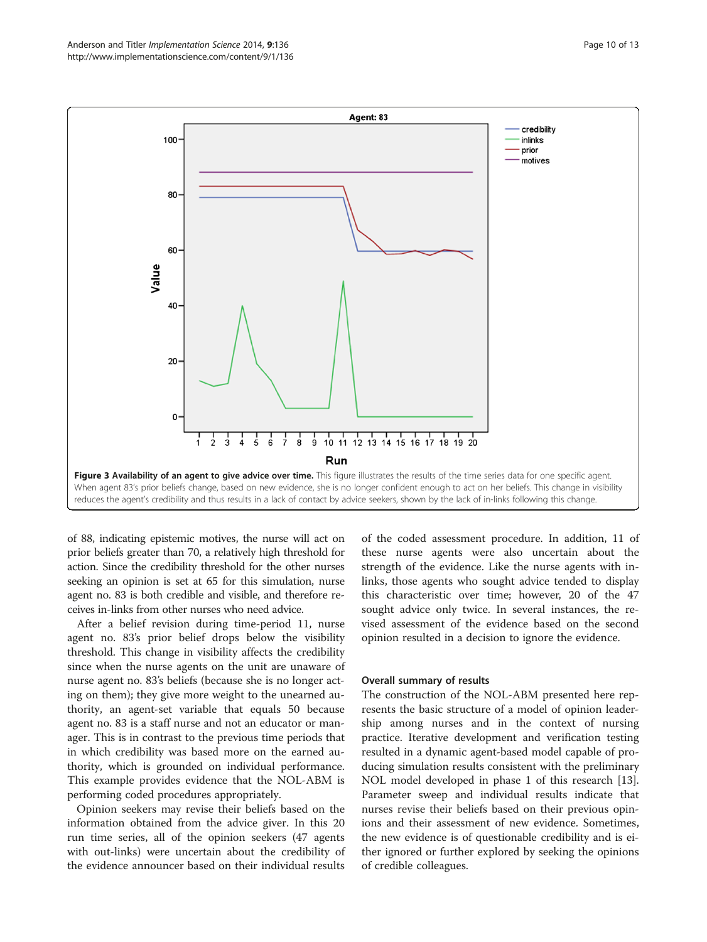<span id="page-9-0"></span>

of 88, indicating epistemic motives, the nurse will act on prior beliefs greater than 70, a relatively high threshold for action. Since the credibility threshold for the other nurses seeking an opinion is set at 65 for this simulation, nurse agent no. 83 is both credible and visible, and therefore receives in-links from other nurses who need advice.

After a belief revision during time-period 11, nurse agent no. 83's prior belief drops below the visibility threshold. This change in visibility affects the credibility since when the nurse agents on the unit are unaware of nurse agent no. 83's beliefs (because she is no longer acting on them); they give more weight to the unearned authority, an agent-set variable that equals 50 because agent no. 83 is a staff nurse and not an educator or manager. This is in contrast to the previous time periods that in which credibility was based more on the earned authority, which is grounded on individual performance. This example provides evidence that the NOL-ABM is performing coded procedures appropriately.

Opinion seekers may revise their beliefs based on the information obtained from the advice giver. In this 20 run time series, all of the opinion seekers (47 agents with out-links) were uncertain about the credibility of the evidence announcer based on their individual results

of the coded assessment procedure. In addition, 11 of these nurse agents were also uncertain about the strength of the evidence. Like the nurse agents with inlinks, those agents who sought advice tended to display this characteristic over time; however, 20 of the 47 sought advice only twice. In several instances, the revised assessment of the evidence based on the second opinion resulted in a decision to ignore the evidence.

#### Overall summary of results

The construction of the NOL-ABM presented here represents the basic structure of a model of opinion leadership among nurses and in the context of nursing practice. Iterative development and verification testing resulted in a dynamic agent-based model capable of producing simulation results consistent with the preliminary NOL model developed in phase 1 of this research [\[13](#page-11-0)]. Parameter sweep and individual results indicate that nurses revise their beliefs based on their previous opinions and their assessment of new evidence. Sometimes, the new evidence is of questionable credibility and is either ignored or further explored by seeking the opinions of credible colleagues.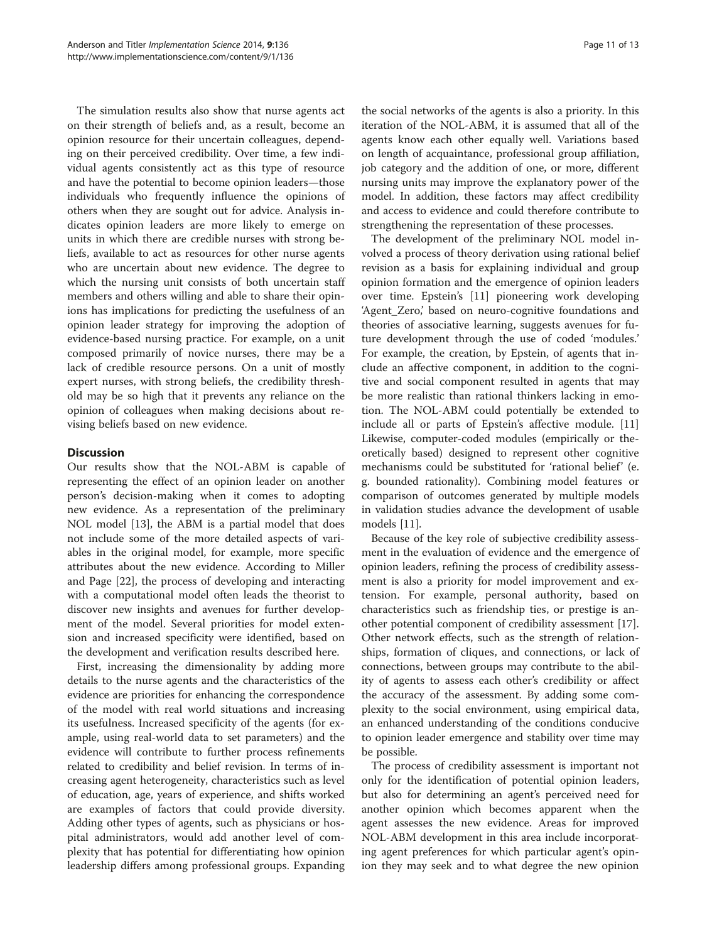The simulation results also show that nurse agents act on their strength of beliefs and, as a result, become an opinion resource for their uncertain colleagues, depending on their perceived credibility. Over time, a few individual agents consistently act as this type of resource and have the potential to become opinion leaders—those individuals who frequently influence the opinions of others when they are sought out for advice. Analysis indicates opinion leaders are more likely to emerge on units in which there are credible nurses with strong beliefs, available to act as resources for other nurse agents who are uncertain about new evidence. The degree to which the nursing unit consists of both uncertain staff members and others willing and able to share their opinions has implications for predicting the usefulness of an opinion leader strategy for improving the adoption of evidence-based nursing practice. For example, on a unit composed primarily of novice nurses, there may be a lack of credible resource persons. On a unit of mostly expert nurses, with strong beliefs, the credibility threshold may be so high that it prevents any reliance on the opinion of colleagues when making decisions about revising beliefs based on new evidence.

# **Discussion**

Our results show that the NOL-ABM is capable of representing the effect of an opinion leader on another person's decision-making when it comes to adopting new evidence. As a representation of the preliminary NOL model [[13](#page-11-0)], the ABM is a partial model that does not include some of the more detailed aspects of variables in the original model, for example, more specific attributes about the new evidence. According to Miller and Page [[22\]](#page-12-0), the process of developing and interacting with a computational model often leads the theorist to discover new insights and avenues for further development of the model. Several priorities for model extension and increased specificity were identified, based on the development and verification results described here.

First, increasing the dimensionality by adding more details to the nurse agents and the characteristics of the evidence are priorities for enhancing the correspondence of the model with real world situations and increasing its usefulness. Increased specificity of the agents (for example, using real-world data to set parameters) and the evidence will contribute to further process refinements related to credibility and belief revision. In terms of increasing agent heterogeneity, characteristics such as level of education, age, years of experience, and shifts worked are examples of factors that could provide diversity. Adding other types of agents, such as physicians or hospital administrators, would add another level of complexity that has potential for differentiating how opinion leadership differs among professional groups. Expanding

the social networks of the agents is also a priority. In this iteration of the NOL-ABM, it is assumed that all of the agents know each other equally well. Variations based on length of acquaintance, professional group affiliation, job category and the addition of one, or more, different nursing units may improve the explanatory power of the model. In addition, these factors may affect credibility and access to evidence and could therefore contribute to strengthening the representation of these processes.

The development of the preliminary NOL model involved a process of theory derivation using rational belief revision as a basis for explaining individual and group opinion formation and the emergence of opinion leaders over time. Epstein's [\[11](#page-11-0)] pioneering work developing 'Agent\_Zero,' based on neuro-cognitive foundations and theories of associative learning, suggests avenues for future development through the use of coded 'modules.' For example, the creation, by Epstein, of agents that include an affective component, in addition to the cognitive and social component resulted in agents that may be more realistic than rational thinkers lacking in emotion. The NOL-ABM could potentially be extended to include all or parts of Epstein's affective module. [[11](#page-11-0)] Likewise, computer-coded modules (empirically or theoretically based) designed to represent other cognitive mechanisms could be substituted for 'rational belief' (e. g. bounded rationality). Combining model features or comparison of outcomes generated by multiple models in validation studies advance the development of usable models [\[11\]](#page-11-0).

Because of the key role of subjective credibility assessment in the evaluation of evidence and the emergence of opinion leaders, refining the process of credibility assessment is also a priority for model improvement and extension. For example, personal authority, based on characteristics such as friendship ties, or prestige is another potential component of credibility assessment [\[17](#page-12-0)]. Other network effects, such as the strength of relationships, formation of cliques, and connections, or lack of connections, between groups may contribute to the ability of agents to assess each other's credibility or affect the accuracy of the assessment. By adding some complexity to the social environment, using empirical data, an enhanced understanding of the conditions conducive to opinion leader emergence and stability over time may be possible.

The process of credibility assessment is important not only for the identification of potential opinion leaders, but also for determining an agent's perceived need for another opinion which becomes apparent when the agent assesses the new evidence. Areas for improved NOL-ABM development in this area include incorporating agent preferences for which particular agent's opinion they may seek and to what degree the new opinion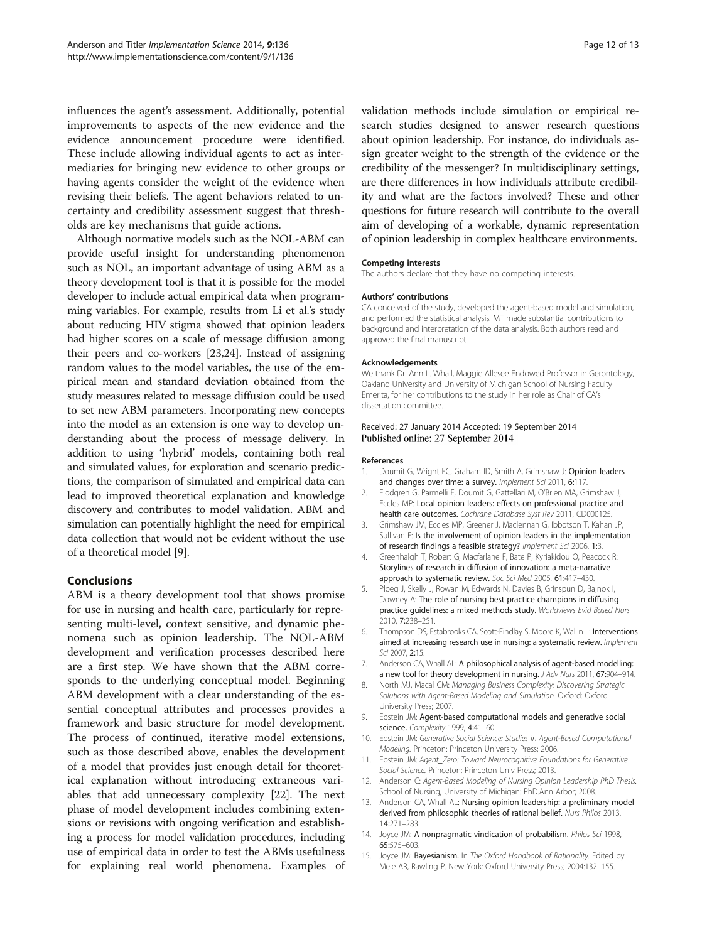<span id="page-11-0"></span>influences the agent's assessment. Additionally, potential improvements to aspects of the new evidence and the evidence announcement procedure were identified. These include allowing individual agents to act as intermediaries for bringing new evidence to other groups or having agents consider the weight of the evidence when revising their beliefs. The agent behaviors related to uncertainty and credibility assessment suggest that thresholds are key mechanisms that guide actions.

Although normative models such as the NOL-ABM can provide useful insight for understanding phenomenon such as NOL, an important advantage of using ABM as a theory development tool is that it is possible for the model developer to include actual empirical data when programming variables. For example, results from Li et al.'s study about reducing HIV stigma showed that opinion leaders had higher scores on a scale of message diffusion among their peers and co-workers [\[23,24](#page-12-0)]. Instead of assigning random values to the model variables, the use of the empirical mean and standard deviation obtained from the study measures related to message diffusion could be used to set new ABM parameters. Incorporating new concepts into the model as an extension is one way to develop understanding about the process of message delivery. In addition to using 'hybrid' models, containing both real and simulated values, for exploration and scenario predictions, the comparison of simulated and empirical data can lead to improved theoretical explanation and knowledge discovery and contributes to model validation. ABM and simulation can potentially highlight the need for empirical data collection that would not be evident without the use of a theoretical model [9].

# Conclusions

ABM is a theory development tool that shows promise for use in nursing and health care, particularly for representing multi-level, context sensitive, and dynamic phenomena such as opinion leadership. The NOL-ABM development and verification processes described here are a first step. We have shown that the ABM corresponds to the underlying conceptual model. Beginning ABM development with a clear understanding of the essential conceptual attributes and processes provides a framework and basic structure for model development. The process of continued, iterative model extensions, such as those described above, enables the development of a model that provides just enough detail for theoretical explanation without introducing extraneous variables that add unnecessary complexity [\[22\]](#page-12-0). The next phase of model development includes combining extensions or revisions with ongoing verification and establishing a process for model validation procedures, including use of empirical data in order to test the ABMs usefulness for explaining real world phenomena. Examples of

validation methods include simulation or empirical research studies designed to answer research questions about opinion leadership. For instance, do individuals assign greater weight to the strength of the evidence or the credibility of the messenger? In multidisciplinary settings, are there differences in how individuals attribute credibility and what are the factors involved? These and other questions for future research will contribute to the overall aim of developing of a workable, dynamic representation of opinion leadership in complex healthcare environments.

#### Competing interests

The authors declare that they have no competing interests.

#### Authors' contributions

CA conceived of the study, developed the agent-based model and simulation, and performed the statistical analysis. MT made substantial contributions to background and interpretation of the data analysis. Both authors read and approved the final manuscript.

#### Acknowledgements

We thank Dr. Ann L. Whall, Maggie Allesee Endowed Professor in Gerontology, Oakland University and University of Michigan School of Nursing Faculty Emerita, for her contributions to the study in her role as Chair of CA's dissertation committee.

## Received: 27 January 2014 Accepted: 19 September 2014 Published online: 27 September 2014

#### References

- 1. Doumit G, Wright FC, Graham ID, Smith A, Grimshaw J: Opinion leaders and changes over time: a survey. Implement Sci 2011, 6:117
- 2. Flodgren G, Parmelli E, Doumit G, Gattellari M, O'Brien MA, Grimshaw J, Eccles MP: Local opinion leaders: effects on professional practice and health care outcomes. Cochrane Database Syst Rev 2011, CD000125.
- 3. Grimshaw JM, Eccles MP, Greener J, Maclennan G, Ibbotson T, Kahan JP, Sullivan F: Is the involvement of opinion leaders in the implementation of research findings a feasible strategy? Implement Sci 2006, 1:3.
- 4. Greenhalgh T, Robert G, Macfarlane F, Bate P, Kyriakidou O, Peacock R: Storylines of research in diffusion of innovation: a meta-narrative approach to systematic review. Soc Sci Med 2005, 61:417–430.
- 5. Ploeg J, Skelly J, Rowan M, Edwards N, Davies B, Grinspun D, Bajnok I, Downey A: The role of nursing best practice champions in diffusing practice guidelines: a mixed methods study. Worldviews Evid Based Nurs 2010, 7:238–251.
- 6. Thompson DS, Estabrooks CA, Scott-Findlay S, Moore K, Wallin L: Interventions aimed at increasing research use in nursing: a systematic review. Implement Sci 2007, 2:15.
- 7. Anderson CA, Whall AL: A philosophical analysis of agent-based modelling: a new tool for theory development in nursing. J Adv Nurs 2011, 67:904-914.
- 8. North MJ, Macal CM: Managing Business Complexity: Discovering Strategic Solutions with Agent-Based Modeling and Simulation. Oxford: Oxford University Press; 2007.
- 9. Epstein JM: Agent-based computational models and generative social science. Complexity 1999, 4:41-60.
- 10. Epstein JM: Generative Social Science: Studies in Agent-Based Computational Modeling. Princeton: Princeton University Press; 2006.
- 11. Epstein JM: Agent\_Zero: Toward Neurocognitive Foundations for Generative Social Science. Princeton: Princeton Univ Press; 2013.
- 12. Anderson C: Agent-Based Modeling of Nursing Opinion Leadership PhD Thesis. School of Nursing, University of Michigan: PhD.Ann Arbor; 2008.
- 13. Anderson CA, Whall AL: Nursing opinion leadership: a preliminary model derived from philosophic theories of rational belief. Nurs Philos 2013, 14:271–283.
- 14. Joyce JM: A nonpragmatic vindication of probabilism. Philos Sci 1998, 65:575–603.
- 15. Joyce JM: Bayesianism. In The Oxford Handbook of Rationality. Edited by Mele AR, Rawling P. New York: Oxford University Press; 2004:132–155.